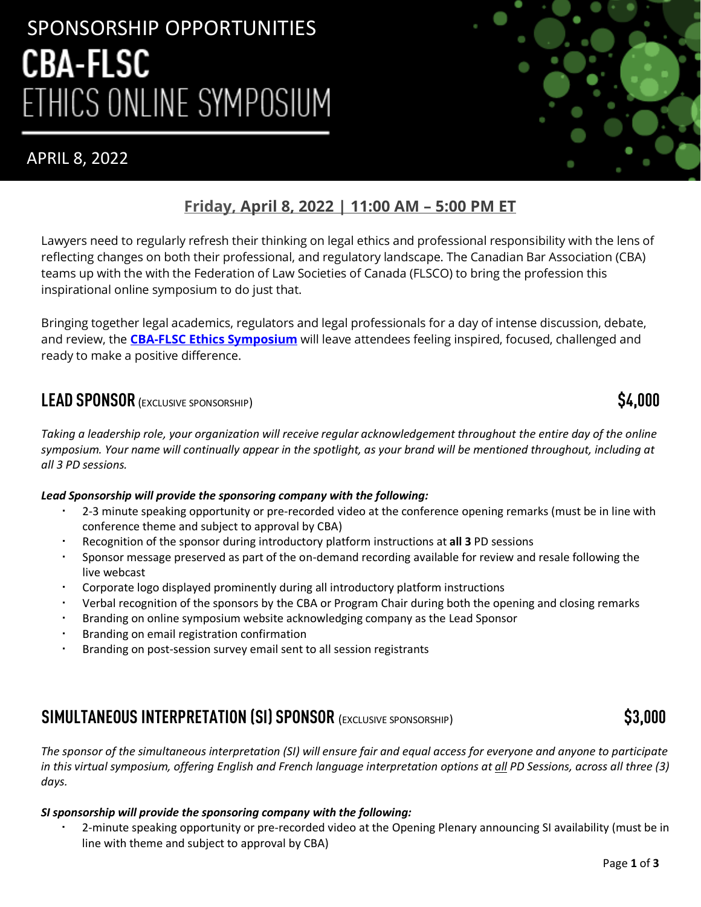# SPONSORSHIP OPPORTUNITIES **CBA-FLSC** ETHICS ONLINE SYMPOSIUM

# APRIL 8, 2022



# **Friday, [April 8, 2022](https://www.cbapd.org/details_en.aspx?id=NA_NA22ETH01A&_ga=2.178115041.591876531.1644246678-1373696361.1628181626) | 11:00 AM – 5:00 PM ET**

Lawyers need to regularly refresh their thinking on legal ethics and professional responsibility with the lens of reflecting changes on both their professional, and regulatory landscape. The Canadian Bar Association (CBA) teams up with the with the Federation of Law Societies of Canada (FLSCO) to bring the profession this inspirational online symposium to do just that.

Bringing together legal academics, regulators and legal professionals for a day of intense discussion, debate, and review, the **[CBA-FLSC Ethics Symposium](https://www.cbapd.org/details_en.aspx?id=NA_NA22ETH01A&_ga=2.178115041.591876531.1644246678-1373696361.1628181626)** will leave attendees feeling inspired, focused, challenged and ready to make a positive difference.

## **LEAD SPONSOR** (EXCLUSIVE SPONSORSHIP) **\$4,000**

*Taking a leadership role, your organization will receive regular acknowledgement throughout the entire day of the online symposium. Your name will continually appear in the spotlight, as your brand will be mentioned throughout, including at all 3 PD sessions.*

### *Lead Sponsorship will provide the sponsoring company with the following:*

- 2-3 minute speaking opportunity or pre-recorded video at the conference opening remarks (must be in line with conference theme and subject to approval by CBA)
- Recognition of the sponsor during introductory platform instructions at **all 3** PD sessions
- Sponsor message preserved as part of the on-demand recording available for review and resale following the live webcast
- Corporate logo displayed prominently during all introductory platform instructions
- Verbal recognition of the sponsors by the CBA or Program Chair during both the opening and closing remarks
- Branding on online symposium website acknowledging company as the Lead Sponsor
- Branding on email registration confirmation
- Branding on post-session survey email sent to all session registrants

# **SIMULTANEOUS INTERPRETATION (SI) SPONSOR** (EXCLUSIVE SPONSORSHIP) **\$3,000**

*The sponsor of the simultaneous interpretation (SI) will ensure fair and equal access for everyone and anyone to participate in this virtual symposium, offering English and French language interpretation options at all PD Sessions, across all three (3) days.* 

### *SI sponsorship will provide the sponsoring company with the following:*

 2-minute speaking opportunity or pre-recorded video at the Opening Plenary announcing SI availability (must be in line with theme and subject to approval by CBA)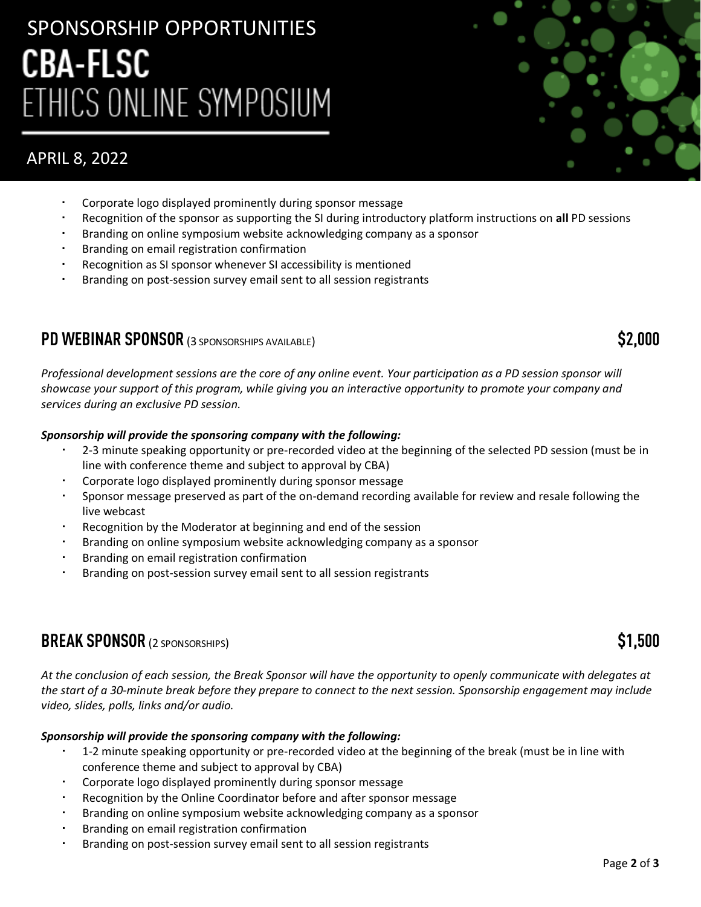# SPONSORSHIP OPPORTUNITIES **CBA-FLSC** ETHICS ONLINE SYMPOSIUM

# APRIL 8, 2022

- Corporate logo displayed prominently during sponsor message
- Recognition of the sponsor as supporting the SI during introductory platform instructions on **all** PD sessions
- Branding on online symposium website acknowledging company as a sponsor
- Branding on email registration confirmation
- Recognition as SI sponsor whenever SI accessibility is mentioned
- Branding on post-session survey email sent to all session registrants

## **PD WEBINAR SPONSOR** (3 SPONSORSHIPS AVAILABLE) **\$2,000**

*Professional development sessions are the core of any online event. Your participation as a PD session sponsor will showcase your support of this program, while giving you an interactive opportunity to promote your company and services during an exclusive PD session.*

#### *Sponsorship will provide the sponsoring company with the following:*

- 2-3 minute speaking opportunity or pre-recorded video at the beginning of the selected PD session (must be in line with conference theme and subject to approval by CBA)
- Corporate logo displayed prominently during sponsor message
- Sponsor message preserved as part of the on-demand recording available for review and resale following the live webcast
- Recognition by the Moderator at beginning and end of the session
- Branding on online symposium website acknowledging company as a sponsor
- Branding on email registration confirmation
- Branding on post-session survey email sent to all session registrants

### **BREAK SPONSOR** (2 SPONSORSHIPS) **\$1,500**

*At the conclusion of each session, the Break Sponsor will have the opportunity to openly communicate with delegates at the start of a 30-minute break before they prepare to connect to the next session. Sponsorship engagement may include video, slides, polls, links and/or audio.*

#### *Sponsorship will provide the sponsoring company with the following:*

- 1-2 minute speaking opportunity or pre-recorded video at the beginning of the break (must be in line with conference theme and subject to approval by CBA)
- Corporate logo displayed prominently during sponsor message
- Recognition by the Online Coordinator before and after sponsor message
- Branding on online symposium website acknowledging company as a sponsor
- Branding on email registration confirmation
- Branding on post-session survey email sent to all session registrants